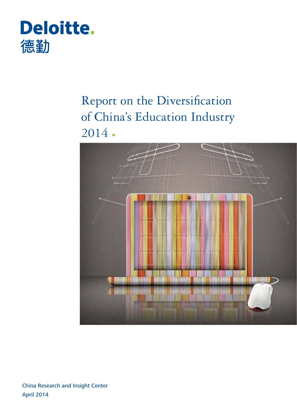

# Report on the Diversification of China's Education Industry 2014



 April 2014 China Research and Insight Center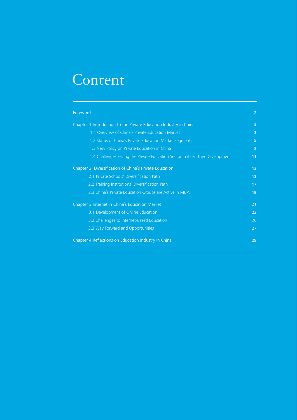# Content

| Foreword                                                                      | 2               |
|-------------------------------------------------------------------------------|-----------------|
| Chapter 1 Introduction to the Private Education Industry in China             | $\overline{3}$  |
| 1.1 Overview of China's Private Education Market                              | $\overline{3}$  |
| 1.2 Status of China's Private Education Market segments                       | 5               |
| 1.3 New Policy on Private Education in China                                  | 8               |
| 1.4 Challenges Facing the Private Education Sector in its Further Development | 11              |
| Chapter 2 Diversification of China's Private Education                        | 13              |
| 2.1 Private Schools' Diversification Path                                     | 13 <sup>°</sup> |
| 2.2 Training Institutions' Diversification Path                               | 17              |
| 2.3 China's Private Education Groups are Active in M&A                        | 19              |
| Chapter 3 Internet in China's Education Market                                | 21              |
| 3.1 Development of Online Education                                           | 23              |
| 3.2 Challenges to Internet-Based Education                                    | 26              |
| 3.3 Way Forward and Opportunities                                             | 27              |
| Chapter 4 Reflections on Education Industry in China                          | 29              |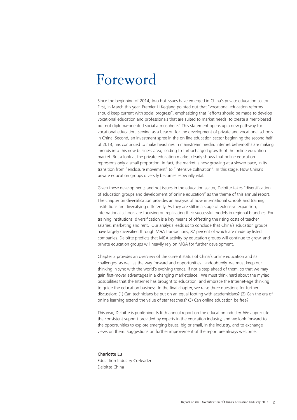# Foreword

Since the beginning of 2014, two hot issues have emerged in China's private education sector. First, in March this year, Premier Li Keqiang pointed out that "vocational education reforms should keep current with social progress", emphasizing that "efforts should be made to develop vocational education and professionals that are suited to market needs, to create a merit-based but not diploma-oriented social atmosphere." This statement opens up a new pathway for vocational education, serving as a beacon for the development of private and vocational schools in China. Second, an investment spree in the on-line education sector beginning the second half of 2013, has continued to make headlines in mainstream media. Internet behemoths are making inroads into this new business area, leading to turbocharged growth of the online education market. But a look at the private education market clearly shows that online education represents only a small proportion. In fact, the market is now growing at a slower pace, in its transition from "enclosure movement" to "intensive cultivation". In this stage, How China's private education groups diversify becomes especially vital.

Given these developments and hot issues in the education sector, Deloitte takes "diversification of education groups and development of online education" as the theme of this annual report. The chapter on diversification provides an analysis of how international schools and training institutions are diversifying differently. As they are still in a stage of extensive expansion, international schools are focusing on replicating their successful models in regional branches. For training institutions, diversification is a key means of offsetting the rising costs of teacher salaries, marketing and rent. Our analysis leads us to conclude that China's education groups have largely diversified through M&A transactions, 87 percent of which are made by listed companies. Deloitte predicts that M&A activity by education groups will continue to grow, and private education groups will heavily rely on M&A for further development.

Chapter 3 provides an overview of the current status of China's online education and its challenges, as well as the way forward and opportunities. Undoubtedly, we must keep our thinking in sync with the world's evolving trends, if not a step ahead of them, so that we may gain first-mover advantages in a changing marketplace. We must think hard about the myriad possibilities that the Internet has brought to education, and embrace the Internet-age thinking to guide the education business. In the final chapter, we raise three questions for further discussion: (1) Can technicians be put on an equal footing with academicians? (2) Can the era of online learning extend the value of star teachers? (3) Can online education be free?

This year, Deloitte is publishing its fifth annual report on the education industry. We appreciate the consistent support provided by experts in the education industry, and we look forward to the opportunities to explore emerging issues, big or small, in the industry, and to exchange views on them. Suggestions on further improvement of the report are always welcome.

Charlotte Lu Education Industry Co-leader Deloitte China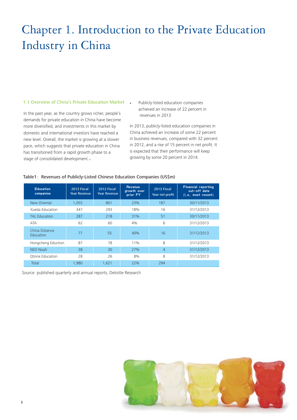## Chapter 1. Introduction to the Private Education Industry in China

## 1.1 Overview of China's Private Education Market

In the past year, as the country grows richer, people's demands for private education in China have become more diversified, and investments in this market by domestic and international investors have reached a new level. Overall, the market is growing at a slower pace, which suggests that private education in China has transitioned from a rapid growth phase to a stage of consolidated development.。

**.** Publicly-listed education companies achieved an increase of 22 percent in revenues in 2013

In 2013, publicly-listed education companies in China achieved an increase of some 22 percent in business revenues, compared with 32 percent in 2012, and a rise of 15 percent in net profit. It is expected that their performance will keep growing by some 20 percent in 2014.

## Table1: Revenues of Publicly-Listed Chinese Education Companies (US\$m)

| <b>Education</b><br>companies | 2013 Fiscal<br><b>Year Revenue</b> | 2012 Fiscal<br><b>Year Revenue</b> | <b>Revenue</b><br>growth over<br>prior FY | 2013 Fiscal<br>Year net profit | <b>Financial reporting</b><br>cut-off date<br>(i.e. most recent) |
|-------------------------------|------------------------------------|------------------------------------|-------------------------------------------|--------------------------------|------------------------------------------------------------------|
| New Oriental                  | 1,055                              | 861                                | 23%                                       | 187                            | 30/11/2013                                                       |
| Xueda Education               | 347                                | 293                                | 18%                                       | 16                             | 31/12/2013                                                       |
| <b>TAL Education</b>          | 287                                | 218                                | 31%                                       | 51                             | 30/11/2013                                                       |
| <b>ATA</b>                    | 62                                 | 60                                 | 4%                                        | 6                              | 31/12/2013                                                       |
| China Distance<br>Education   | 77                                 | 55                                 | 40%                                       | 16                             | 31/12/2013                                                       |
| Hongcheng Eduction            | 87                                 | 78                                 | 11%                                       | 8                              | 31/12/2013                                                       |
| <b>NED Noah</b>               | 38                                 | 30                                 | 27%                                       | $\overline{4}$                 | 31/12/2013                                                       |
| Otone Education               | 28                                 | 26                                 | 8%                                        | 8                              | 31/12/2013                                                       |
| Total                         | 1,980                              | 1.621                              | 22%                                       | 294                            |                                                                  |

Source: published quarterly and annual reports, Deloitte Research

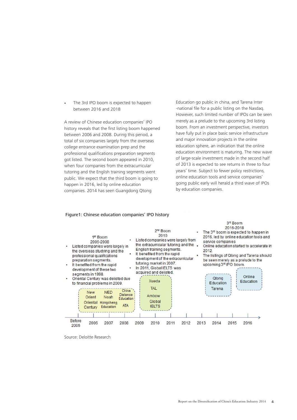**.** The 3rd IPO boom is expected to happen between 2016 and 2018

A review of Chinese education companies' IPO history reveals that the first listing boom happened between 2006 and 2008. During this period, a total of six companies largely from the overseas college entrance examination prep and the professional qualifications preparation segments got listed. The second boom appeared in 2010, when four companies from the extracurricular tutoring and the English training segments went public. We expect that the third boom is going to happen in 2016, led by online education companies. 2014 has seen Guangdong Qtong

Education go public in china, and Tarena Inter -national file for a public listing on the Nasdaq. However, such limited number of IPOs can be seen merely as a prelude to the upcoming 3rd listing boom. From an investment perspective, investors have fully put in place basic service infrastructure and major innovation projects in the online education sphere, an indication that the online education environment is maturing. The new wave of large-scale investment made in the second half of 2013 is expected to see returns in three to four years' time. Subject to fewer policy restrictions, online education tools and service companies' going public early will herald a third wave of IPOs by education companies.

3rd Boom

#### 2016-2018 2<sup>nd</sup> Boom The 3<sup>rd</sup> boom is expected to happen in 2010 1<sup>st</sup> Boom 2016, led by online education tools and Listed companies were largely from 2006-2008 service companies the extracurricular tutoring and the . Online education started to accelerate in Listed companies were largely in English training segments. the overseas studving and the 2012 It benefited from the rapid The listings of Qtong and Tarena should professional qualifications development of the extracurricular preparation segments. be seen merely as a prelude to the tutoring market in 2007. upcoming 3<sup>rd</sup> IPO boom. It benefited from the rapid In 2011 Global IFI TS was development of these two acquired and delisted. segments in 1998. Online Oriental Century was delisted due Qtong Xueda Education Education to financial problems in 2009. **TAL** Tarena China New **NED Distance** Amhow Noah Orient Education Global Oriental Hongcheng **ATA** Education **IFITS** Century **Before** 2009 2010 2012 2013 2014 2015 2016 2006 2007 2008  $2011$ 2005

## Figure1: Chinese education companies' IPO history

Source: Deloitte Research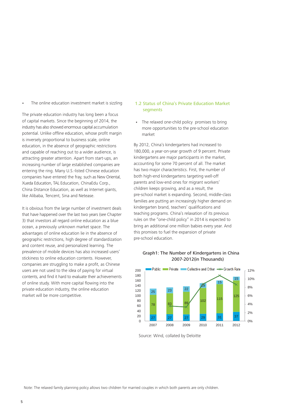**.** The online education investment market is sizzling 1.2 Status of China's Private Education Market

The private education industry has long been a focus of capital markets. Since the beginning of 2014, the industry has also showed enormous capital accumulation potential. Unlike offline education, whose profit margin is inversely proportional to business scale, online education, in the absence of geographic restrictions and capable of reaching out to a wider audience, is attracting greater attention. Apart from start-ups, an increasing number of large established companies are entering the ring. Many U.S.-listed Chinese education companies have entered the fray, such as New Oriental, Xueda Education, TAL Education, ChinaEdu Corp., China Distance Education, as well as Internet giants, like Alibaba, Tencent, Sina and Netease.

It is obvious from the large number of investment deals that have happened over the last two years (see Chapter 3) that investors all regard online education as a blue ocean, a previously unknown market space. The advantages of online education lie in the absence of geographic restrictions, high degree of standardization and content reuse, and personalized learning. The prevalence of mobile devices has also increased users' stickiness to online education contents. However, companies are struggling to make a profit, as Chinese users are not used to the idea of paying for virtual contents, and find it hard to evaluate their achievements of online study. With more capital flowing into the private education industry, the online education market will be more competitive.

## segments

The relaxed one-child policy promises to bring **.** more opportunities to the pre-school education market

By 2012, China's kindergartens had increased to 180,000, a year-on-year growth of 9 percent. Private kindergartens are major participants in the market, accounting for some 70 percent of all. The market has two major characteristics. First, the number of both high-end kindergartens targeting well-off parents and low-end ones for migrant workers' children keeps growing, and as a result, the pre-school market is expanding. Second, middle-class families are putting an increasingly higher demand on kindergarten brand, teachers' qualifications and teaching programs. China's relaxation of its previous rules on the "one-child policy" in 2014 is expected to bring an additional one million babies every year. And this promises to fuel the expansion of private pre-school education.



## 2007-2012(in Thousands) Graph1: The Number of Kindergartens in China

Source: Wind, collated by Deloitte

Note: The relaxed family planning policy allows two children for married couples in which both parents are only children.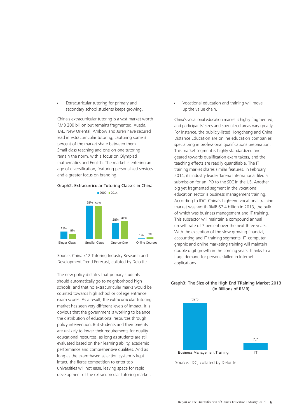Extracurricular tutoring for primary and secondary school students keeps growing. **.**

China's extracurricular tutoring is a vast market worth RMB 200 billion but remains fragmented. Xueda, TAL, New Oriental, Ambow and Juren have secured lead in extracurricular tutoring, capturing some 3 percent of the market share between them. Small-class teaching and one-on-one tutoring remain the norm, with a focus on Olympiad mathematics and English. The market is entering an age of diversification, featuring personalized services and a greater focus on branding.

## **Extracurricular Tutoring Classes in China** Graph2: Extracurricular Tutoring Classes in China



Source: China k12 Tutoring Industry Research and Development Trend Forecast, collated by Deloitte

The new policy dictates that primary students should automatically go to neighborhood high schools, and that no extracurricular marks would be counted towards high school or college entrance exam scores. As a result, the extracurricular tutoring market has seen very different levels of impact. It is obvious that the government is working to balance the distribution of educational resources through policy intervention. But students and their parents are unlikely to lower their requirements for quality educational resources, as long as students are still evaluated based on their learning ability, academic performance and comprehensive qualities. And as long as the exam-based selection system is kept intact, the fierce competition to enter top universities will not ease, leaving space for rapid development of the extracurricular tutoring market.

Vocational education and training will move up the value chain. **.**

China's vocational education market is highly fragmented, and participants' sizes and specialized areas vary greatly. For instance, the publicly-listed Hongcheng and China Distance Education are online education companies specializing in professional qualifications preparation. This market segment is highly standardized and geared towards qualification exam takers, and the teaching effects are readily quantifiable. The IT training market shares similar features. In February 2014, its industry leader Tarena International filed a submission for an IPO to the SEC in the US. Another big yet fragmented segment in the vocational education sector is business management training. According to IDC, China's high-end vocational training market was worth RMB 67.4 billion in 2013, the bulk of which was business management and IT training. This subsector will maintain a compound annual growth rate of 7 percent over the next three years. With the exception of the slow growing financial, accounting and IT training segments, IT, computer graphic and online marketing training will maintain double digit growth in the coming years, thanks to a huge demand for persons skilled in Internet applications.

## **The Size of the High-End Training Market 2013**  Graph3: The Size of the High-End TRaining Market 2013 **(in Billions of RMB)** (in Billions of RMB)

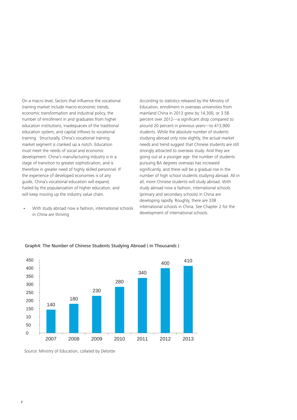On a macro level, factors that influence the vocational training market include macro-economic trends, economic transformation and industrial policy, the number of enrollment in and graduates from higher education institutions, inadequacies of the traditional education system, and capital inflows to vocational training. Structurally, China's vocational training market segment is cranked up a notch. Education must meet the needs of social and economic development. China's manufacturing industry is in a stage of transition to greater sophistication, and is therefore in greater need of highly skilled personnel. If the experience of developed economies is of any guide, China's vocational education will expand, fueled by the popularization of higher education, and will keep moving up the industry value chain.

With study abroad now a fashion, international schools in China are thriving **.**

According to statistics released by the Ministry of Education, enrollment in overseas universities from mainland China in 2013 grew by 14,300, or 3.58 percent over 2012—a significant drop compared to around 20 percent in previous years—to 413,900 students. While the absolute number of students studying abroad only rose slightly, the actual market needs and trend suggest that Chinese students are still strongly attracted to overseas study. And they are going out at a younger age: the number of students pursuing BA degrees overseas has increased significantly, and there will be a gradual rise in the number of high school students studying abroad. All in all, more Chinese students will study abroad. With study abroad now a fashion, international schools (primary and secondary schools) in China are developing rapidly. Roughly, there are 338 international schools in China. See Chapter 2 for the development of international schools.



**The Number of Chinese Students Studying Abroad**  Graph4: The Number of Chinese Students Studying Abroad ( in Thousands )

Source: Ministry of Education, collated by Deloitte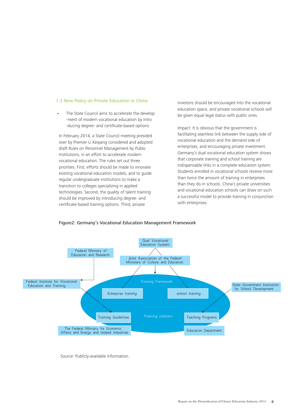## 1.3 New Policy on Private Education in China

The State Council aims to accelerate the develop -ment of modern vocational education by intro -ducing degree- and certificate-based options **.**

In February 2014, a State Council meeting presided over by Premier Li Keqiang considered and adopted draft Rules on Personnel Management by Public Institutions, in an effort to accelerate modern vocational education. The rules set out three priorities. First, efforts should be made to innovate existing vocational education models, and to guide regular undergraduate institutions to make a transition to colleges specializing in applied technologies. Second, the quality of talent training should be improved by introducing degree- and certificate-based training options. Third, private

investors should be encouraged into the vocational education space, and private vocational schools will be given equal legal status with public ones.

Impact: It is obvious that the government is facilitating seamless link between the supply side of vocational education and the demand side of enterprises, and encouraging private investment. Germany's dual vocational education system shows that corporate training and school training are indispensable links in a complete education system: Students enrolled in vocational schools receive more than twice the amount of training in enterprises than they do in schools. China's private universities and vocational education schools can draw on such a successful model to provide training in conjunction with enterprises.



## Figure2: Germany's Vocational Education Management Framework

Source: Publicly-available information.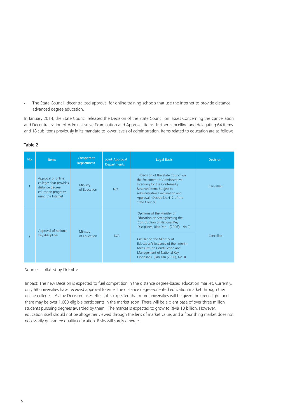The State Council decentralized approval for online training schools that use the Internet to provide distance advanced degree education. **.**

In January 2014, the State Council released the Decision of the State Council on Issues Concerning the Cancellation and Decentralization of Administrative Examination and Approval Items, further cancelling and delegating 64 items and 18 sub-items previously in its mandate to lower levels of administration. Items related to education are as follows:

| No.           | <b>Items</b>                                                                                                | Competent<br><b>Department</b> | <b>Joint Approval</b><br><b>Departments</b> | <b>Legal Basis</b>                                                                                                                                                                                                        | <b>Decision</b> |
|---------------|-------------------------------------------------------------------------------------------------------------|--------------------------------|---------------------------------------------|---------------------------------------------------------------------------------------------------------------------------------------------------------------------------------------------------------------------------|-----------------|
|               | Approval of online<br>colleges that provides<br>distance degree<br>education programs<br>using the Internet | Ministry<br>of Education       | N/A                                         | «Decision of the State Council on<br>the Enactment of Administrative<br>Licensing for the Confessedly<br>Reserved Items Subject to<br>Administrative Examination and<br>Approval, (Decree No.412 of the<br>State Council) | Cancelled       |
|               | Approval of national                                                                                        | Ministry                       |                                             | Opinions of the Ministry of<br>Education on Strengthening the<br>Construction of National Key<br>Disciplines, (Jiao Yan [2006] No.2)                                                                                      |                 |
| $\mathcal{P}$ | key disciplines                                                                                             | of Education                   | N/A                                         | Circular on the Ministry of<br>Education's Issuance of the 'Interim'<br>Measures on Construction and<br>Management of National Key<br>Disciplines' (Jiao Yan (2006), No.3)                                                | Cancelled       |

## Table 2

Source: collated by Deloitte

Impact: The new Decision is expected to fuel competition in the distance degree-based education market. Currently, only 68 universities have received approval to enter the distance degree-oriented education market through their online colleges. As the Decision takes effect, it is expected that more universities will be given the green light, and there may be over 1,000 eligible participants in the market soon. There will be a client base of over three million students pursuing degrees awarded by them. The market is expected to grow to RMB 10 billion. However, education itself should not be altogether viewed through the lens of market value, and a flourishing market does not necessarily guarantee quality education. Risks will surely emerge.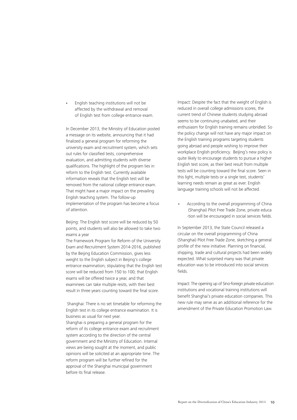English teaching institutions will not be affected by the withdrawal and removal of English test from college entrance exam. **.**

In December 2013, the Ministry of Education posted a message on its website, announcing that it had finalized a general program for reforming the university exam and recruitment system, which sets out rules for classified tests, comprehensive evaluation, and admitting students with diverse qualifications. The highlight of the program lies in reform to the English test. Currently available information reveals that the English test will be removed from the national college entrance exam. That might have a major impact on the prevailing English teaching system. The follow-up implementation of the program has become a focus of attention.

Beijing: The English test score will be reduced by 50 points, and students will also be allowed to take two exams a year

The Framework Program for Reform of the University Exam and Recruitment System 2014-2016, published by the Beijing Education Commission, gives less weight to the English subject in Beijing's college entrance examination, stipulating that the English test score will be reduced from 150 to 100; that English exams will be offered twice a year, and that examinees can take multiple resits, with their best result in three years counting toward the final score.

 Shanghai: There is no set timetable for reforming the English test in its college entrance examination. It is business as usual for next year. Shanghai is preparing a general program for the reform of its college entrance exam and recruitment system according to the direction of the central government and the Ministry of Education. Internal views are being sought at the moment, and public opinions will be solicited at an appropriate time. The reform program will be further refined for the approval of the Shanghai municipal government before its final release.

Impact: Despite the fact that the weight of English is reduced in overall college admissions scores, the current trend of Chinese students studying abroad seems to be continuing unabated, and their enthusiasm for English training remains unbridled. So the policy change will not have any major impact on the English training programs targeting students going abroad and people wishing to improve their workplace English proficiency. Beijing's new policy is quite likely to encourage students to pursue a higher English test score, as their best result from multiple tests will be counting toward the final score. Seen in this light, multiple tests or a single test, students' learning needs remain as great as ever. English language training schools will not be affected.

According to the overall programming of China (Shanghai) Pilot Free Trade Zone, private educa -tion will be encouraged in social services fields. **.**

In September 2013, the State Council released a circular on the overall programming of China (Shanghai) Pilot Free Trade Zone, sketching a general profile of the new initiative. Planning on financial, shipping, trade and cultural projects had been widely expected. What surprised many was that private education was to be introduced into social services fields.

Impact: The opening up of Sino-foreign private education institutions and vocational training institutions will benefit Shanghai's private education companies. This new rule may serve as an additional reference for the amendment of the Private Education Promotion Law.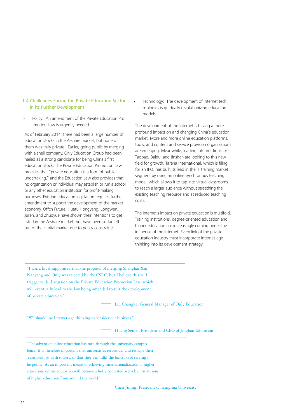## 1.4 Challenges Facing the Private Education Sector in its Further Development

Policy: An amendment of the Private Education Pro -motion Law is urgently needed

**.**

As of February 2014, there had been a large number of education stocks in the A-share market, but none of them was truly private. Earlier, going public by merging with a shell company, Only Education Group had been hailed as a strong candidate for being China's first education stock. The Private Education Promotion Law provides that "private education is a form of public undertaking," and the Education Law also provides that no organization or individual may establish or run a school or any other education institution for profit-making purposes. Existing education legislation requires further amendment to support the development of the market economy. Offcn Future, Huatu Hongyang, Longwen, Juren, and Zhuoyue have shown their intentions to get listed in the A-share market, but have been so far left out of the capital market due to policy constraints.

Technology: The development of Internet tech -nologies is gradually revolutionizing education models

**.**

The development of the Internet is having a more profound impact on and changing China's education market. More and more online education platforms, tools, and content and service provision organizations are emerging. Meanwhile, leading Internet firms like Taobao, Baidu, and Jinshan are looking to this new field for growth. Tarena International, which is filing for an IPO, has built its lead in the IT training market segment by using an online synchronous teaching model, which allows it to tap into virtual classrooms to reach a larger audience without stretching the existing teaching resource and at reduced teaching costs.

The Internet's impact on private education is multifold. Training institutions, degree-oriented education and higher education are increasingly coming under the influence of the Internet. Every link of the private education industry must incorporate Internet-age thinking into its development strategy.

"I was a bit disappointed that the proposal of merging Shanghai Xin Nanyang and Only was rejected by the CSRC, but I believe this will trigger wide discussion on the Private Education Promotion Law, which will eventually lead to the law being amended to suit the development of private education."

Liu Changke, General Manager of Only Education

"We should use Internet-age thinking to consider our business."

Huang Senlei, President and CEO of Jinghan Education

"The advent of online education has torn through the university campus fence. It is therefore important that universities reconsider and reshape their relationships with society, so that they can fulfil the function of serving t he public. As an important means of achieving internationalization of higher education, online education will become a hotly contested arena by institutions of higher education from around the world."

Chen Jining, President of Tsinghua University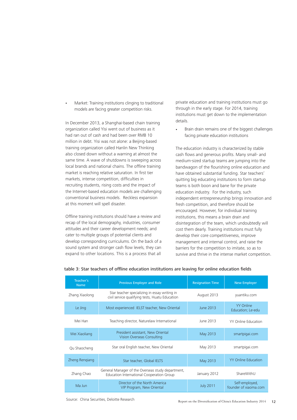Market: Training institutions clinging to traditional models are facing greater competition risks. **.**

In December 2013, a Shanghai-based chain training organization called Yisi went out of business as it had ran out of cash and had been over RMB 10 million in debt. Yisi was not alone: a Beijing-based training organization called Hanlin New Thinking also closed down without a warning at almost the same time. A wave of shutdowns is sweeping across local brands and national chains. The offline training market is reaching relative saturation. In first tier markets, intense competition, difficulties in recruiting students, rising costs and the impact of the Internet-based education models are challenging conventional business models. Reckless expansion at this moment will spell disaster.

Offline training institutions should have a review and recap of the local demography, industries, consumer attitudes and their career development needs; and cater to multiple groups of potential clients and develop corresponding curriculums. On the back of a sound system and stronger cash flow levels, they can expand to other locations. This is a process that all

private education and training institutions must go through in the early stage. For 2014, training institutions must get down to the implementation details.

Brain drain remains one of the biggest challenges facing private education institutions **.**

The education industry is characterized by stable cash flows and generous profits. Many small- and medium-sized startup teams are jumping into the bandwagon of the flourishing online education and have obtained substantial funding. Star teachers' quitting big educating institutions to form startup teams is both boon and bane for the private education industry. For the industry, such independent entrepreneurship brings innovation and fresh competition, and therefore should be encouraged. However, for individual training institutions, this means a brain drain and disintegration of the team, which undoubtedly will cost them dearly. Training institutions must fully develop their core competitiveness, improve management and internal control, and raise the barriers for the competition to imitate, so as to survive and thrive in the intense market competition.

| Teacher's<br><b>Name</b> | <b>Previous Employer and Role</b>                                                                | <b>Resignation Time</b> | <b>New Employer</b>                     |
|--------------------------|--------------------------------------------------------------------------------------------------|-------------------------|-----------------------------------------|
| Zhang Xiaolong           | Star teacher specializing in essay writing in<br>civil service qualifying tests, Huatu Education | August 2013             | yuantiku.com                            |
| Le Jing                  | Most experienced IELST teacher, New Oriental                                                     | June 2013               | <b>YY Online</b><br>Education; Le-edu   |
| Mei Han                  | Teaching director, Naturelaw International                                                       | June 2013               | <b>YY Online Education</b>              |
| Wei Xiaoliang            | President assistant, New Oriental<br>Vision Overseas Consulting                                  | May 2013                | smartpigai.com                          |
| Qu Shaocheng             | Star oral English teacher, New Oriental                                                          | May 2013                | smartpigai.com                          |
| Zheng Rengiang           | Star teacher, Global IELTS                                                                       | <b>May 2013</b>         | <b>YY Online Education</b>              |
| Zhang Chao               | General Manager of the Overseas study department,<br>Education International Cooperation Group   | January 2012            | ShareWithU                              |
| Ma Jun                   | Director of the North America<br>VIP Program, New Oriental                                       | <b>July 2011</b>        | Self-employed,<br>founder of xiaoma.com |

## table 3: Star teachers of offline education institutions are leaving for online education fields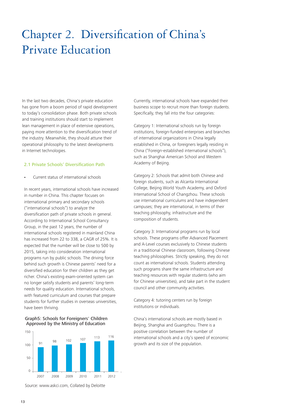## Chapter 2. Diversification of China's Private Education

In the last two decades, China's private education has gone from a boom period of rapid development to today's consolidation phase. Both private schools and training institutions should start to implement lean management in place of extensive operations, paying more attention to the diversification trend of the industry. Meanwhile, they should attune their operational philosophy to the latest developments in Internet technologies.

## 2.1 Private Schools' Diversification Path

**.** Current status of international schools

In recent years, international schools have increased in number in China. This chapter focuses on international primary and secondary schools ("international schools") to analyze the diversification path of private schools in general. According to International School Consultancy Group, in the past 12 years, the number of international schools registered in mainland China has increased from 22 to 338, a CAGR of 25%. It is expected that the number will be close to 500 by 2015, taking into consideration international programs run by public schools. The driving force behind such growth is Chinese parents' need for a diversified education for their children as they get richer. China's existing exam-oriented system can no longer satisfy students and parents' long-term needs for quality education. International schools, with featured curriculum and courses that prepare students for further studies in overseas universities, have been thriving.

## Graph5: Schools for Foreigners' Children Approved by the Ministry of Education



Source: www.askci.com, Collated by Deloitte

Currently, international schools have expanded their business scope to recruit more than foreign students. Specifically, they fall into the four categories:

Category 1: International schools run by foreign institutions, foreign-funded enterprises and branches of international organizations in China legally established in China, or foreigners legally residing in China ("Foreign-established international schools"), such as Shanghai American School and Western Academy of Beijing.

Category 2: Schools that admit both Chinese and foreign students, such as Alcanta International College, Beijing World Youth Academy, and Oxford International School of Changzhou. These schools use international curriculums and have independent campuses; they are international, in terms of their teaching philosophy, infrastructure and the composition of students.

Category 3: International programs run by local schools. These programs offer Advanced Placement and A-Level courses exclusively to Chinese students in a traditional Chinese classroom, following Chinese teaching philosophies. Strictly speaking, they do not count as international schools. Students attending such programs share the same infrastructure and teaching resources with regular students (who aim for Chinese universities), and take part in the student council and other community activities.

Category 4: tutoring centers run by foreign institutions or individuals.

China's international schools are mostly based in Beijing, Shanghai and Guangzhou. There is a positive correlation between the number of international schools and a city's speed of economic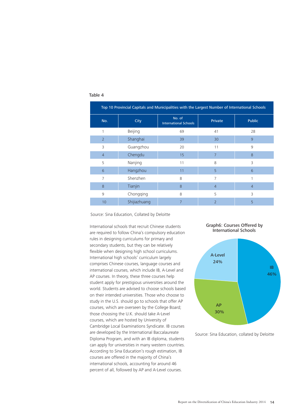| Top 10 Provincial Capitals and Municipalities with the Largest Number of International Schools |              |                                        |                |                |  |  |
|------------------------------------------------------------------------------------------------|--------------|----------------------------------------|----------------|----------------|--|--|
| No.                                                                                            | City         | No. of<br><b>International Schools</b> | <b>Private</b> | <b>Public</b>  |  |  |
| 1                                                                                              | Beijing      | 69                                     | 41             | 28             |  |  |
| $\overline{2}$                                                                                 | Shanghai     | 39                                     | 30             | 9              |  |  |
| 3                                                                                              | Guangzhou    | 20                                     | 11             | 9              |  |  |
| $\overline{4}$                                                                                 | Chengdu      | 15                                     | 7              | 8              |  |  |
| 5                                                                                              | Nanjing      | 11                                     | 8              | 3              |  |  |
| 6                                                                                              | Hangzhou     | 11                                     | 5              | 6              |  |  |
| $\overline{7}$                                                                                 | Shenzhen     | 8                                      | $\overline{7}$ |                |  |  |
| 8                                                                                              | Tianjin      | 8                                      | 4              | $\overline{4}$ |  |  |
| 9                                                                                              | Chongqing    | 8                                      | 5              | 3              |  |  |
| 10                                                                                             | Shijiazhuang | 7                                      | $\overline{2}$ | 5              |  |  |

## Table 4

Source: Sina Education, Collated by Deloitte

International schools that recruit Chinese students are required to follow China's compulsory education rules in designing curriculums for primary and secondary students, but they can be relatively flexible when designing high school curriculums. International high schools' curriculum largely comprises Chinese courses, language courses and international courses, which include IB, A-Level and AP courses. In theory, these three courses help student apply for prestigious universities around the world. Students are advised to choose schools based on their intended universities. Those who choose to study in the U.S. should go to schools that offer AP courses, which are overseen by the College Board; those choosing the U.K. should take A-Level courses, which are hosted by University of Cambridge Local Examinations Syndicate. IB courses are developed by the International Baccalaureate Diploma Program, and with an IB diploma, students can apply for universities in many western countries. According to Sina Education's rough estimation, IB courses are offered in the majority of China's international schools, accounting for around 46 percent of all, followed by AP and A-Level courses.





Source: Sina Education, collated by Deloitte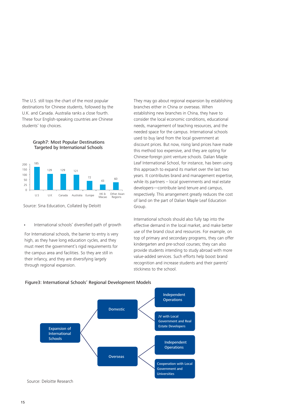The U.S. still tops the chart of the most popular destinations for Chinese students, followed by the U.K. and Canada. Australia ranks a close fourth. These four English-speaking countries are Chinese students' top choices.

> Graph7: Most Popular Destinations Targeted by International Schools



Source: Sina Education, Collated by Deloitt

**.** International schools' diversified path of growth

For International schools, the barrier to entry is very high, as they have long education cycles, and they must meet the government's rigid requirements for the campus area and facilities. So they are still in their infancy, and they are diversifying largely through regional expansion.

They may go about regional expansion by establishing branches either in China or overseas. When establishing new branches in China, they have to consider the local economic conditions, educational needs, management of teaching resources, and the needed space for the campus. International schools used to buy land from the local government at discount prices. But now, rising land prices have made this method too expensive, and they are opting for Chinese-foreign joint venture schools. Dalian Maple Leaf International School, for instance, has been using this approach to expand its market over the last two years. It contributes brand and management expertise, while its partners – local governments and real estate developers—contribute land tenure and campus, respectively. This arrangement greatly reduces the cost of land on the part of Dalian Maple Leaf Education Group.

International schools should also fully tap into the effective demand in the local market, and make better use of the brand clout and resources. For example, on top of primary and secondary programs, they can offer kindergarten and pre-school courses; they can also provide students intending to study abroad with more value-added services. Such efforts help boost brand recognition and increase students and their parents' stickiness to the school.



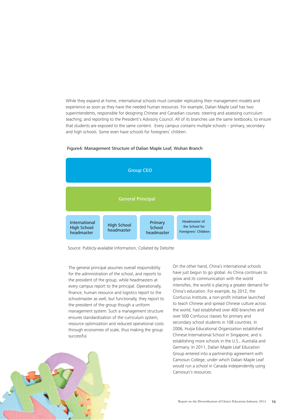While they expand at home, international schools must consider replicating their management models and experience as soon as they have the needed human resources. For example, Dalian Maple Leaf has two superintendents, responsible for designing Chinese and Canadian courses; steering and assessing curriculum teaching; and reporting to the President's Advisory Council. All of its branches use the same textbooks, to ensure that students are exposed to the same content. Every campus contains multiple schools – primary, secondary and high schools. Some even have schools for foreigners' children.



## Figure4: Management Structure of Dalian Maple Leaf, Wuhan Branch

Source: Publicly-available Information, Collated by Deloitte

The general principal assumes overall responsibility for the administration of the school, and reports to the president of the group, while headmasters at every campus report to the principal. Operationally, finance, human resource and logistics report to the schoolmaster as well, but functionally, they report to the president of the group though a uniform management system. Such a management structure ensures standardization of the curriculum system, resource optimization and reduced operational costs through economies of scale, thus making the group successful.

On the other hand, China's international schools have just begun to go global. As China continues to grow and its communication with the world intensifies, the world is placing a greater demand for China's education. For example, by 2012, the Confucius Institute, a non-profit initiative launched to teach Chinese and spread Chinese culture across the world, had established over 400 branches and over 500 Confucius classes for primary and secondary school students in 108 countries. In 2006, Huijia Educational Organization established Chinese International School in Singapore, and is establishing more schools in the U.S., Australia and Germany. In 2011, Dalian Maple Leaf Education Group entered into a partnership agreement with Camosun College, under which Dalian Maple Leaf would run a school in Canada independently using Camosun's resources.

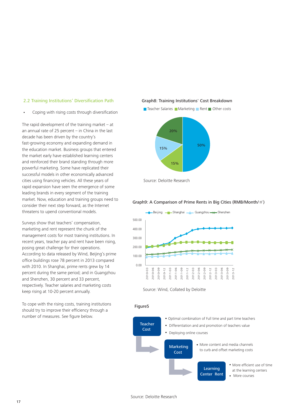## 2.2 Training Institutions' Diversification Path

**.** Coping with rising costs through diversification

The rapid development of the training market  $-$  at an annual rate of 25 percent – in China in the last decade has been driven by the country's fast-growing economy and expanding demand in the education market. Business groups that entered the market early have established learning centers and reinforced their brand standing through more powerful marketing. Some have replicated their successful models in other economically advanced cities using financing vehicles. All these years of rapid expansion have seen the emergence of some leading brands in every segment of the training market. Now, education and training groups need to consider their next step forward, as the Internet threatens to upend conventional models.

Surveys show that teachers' compensation, marketing and rent represent the chunk of the management costs for most training institutions. In recent years, teacher pay and rent have been rising, posing great challenge for their operations. According to data released by Wind, Beijing's prime office buildings rose 78 percent in 2013 compared with 2010. In Shanghai, prime rents grew by 14 percent during the same period; and in Guangzhou and Shenzhen, 30 percent and 33 percent, respectively. Teacher salaries and marketing costs keep rising at 10-20 percent annually.

To cope with the rising costs, training institutions should try to improve their efficiency through a number of measures. See figure below.

## Graph8: Training Institutions' Cost Breakdown





Source: Deloitte Research

## Graph9: A Comparison of Prime Rents in Big Cities (RMB/Month/㎡)



Source: Wind, Collated by Deloitte

## Figure5

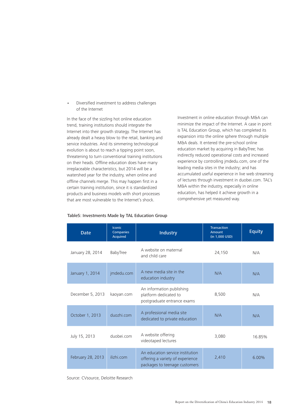Diversified investment to address challenges of the Internet **.**

In the face of the sizzling hot online education trend, training institutions should integrate the Internet into their growth strategy. The Internet has already dealt a heavy blow to the retail, banking and service industries. And its simmering technological evolution is about to reach a tipping point soon, threatening to turn conventional training institutions on their heads. Offline education does have many irreplaceable characteristics, but 2014 will be a watershed year for the industry, when online and offline channels merge. This may happen first in a certain training institution, since it is standardized products and business models with short processes that are most vulnerable to the Internet's shock.

Investment in online education through M&A can minimize the impact of the Internet. A case in point is TAL Education Group, which has completed its expansion into the online sphere through multiple M&A deals. It entered the pre-school online education market by acquiring in BabyTree; has indirectly reduced operational costs and increased experience by controlling jmdedu.com, one of the leading media sites in the industry; and has accumulated useful experience in live web streaming of lectures through investment in duobei.com. TAL's M&A within the industry, especially in online education, has helped it achieve growth in a comprehensive yet measured way.

| <b>Date</b>       | <b>Iconic</b><br>Companies<br><b>Acquired</b> | Industry                                                                                              | <b>Transaction</b><br>Amount<br>(in 1,000 USD) | <b>Equity</b> |
|-------------------|-----------------------------------------------|-------------------------------------------------------------------------------------------------------|------------------------------------------------|---------------|
| January 28, 2014  | BabyTree                                      | A website on maternal<br>and child care                                                               | 24,150                                         | N/A           |
| January 1, 2014   | jmdedu.com                                    | A new media site in the<br>education industry                                                         | N/A                                            | N/A           |
| December 5, 2013  | kaoyan.com                                    | An information publishing<br>platform dedicated to<br>postgraduate entrance exams                     | 8,500                                          | N/A           |
| October 1, 2013   | duozhi.com                                    | A professional media site<br>dedicated to private education                                           | N/A                                            | N/A           |
| July 15, 2013     | duobei.com                                    | A website offering<br>videotaped lectures                                                             | 3.080                                          | 16.85%        |
| February 28, 2013 | ilizhi.com                                    | An education service institution<br>offering a variety of experience<br>packages to teenage customers | 2,410                                          | 6.00%         |

## Table5: Investments Made by TAL Education Group

Source: CVsource, Deloitte Research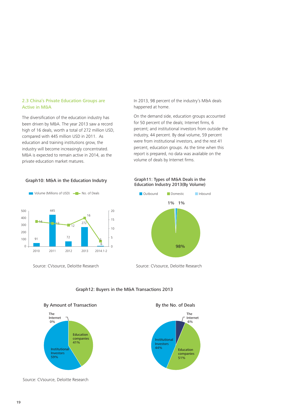## 2.3 China's Private Education Groups are Active in M&A

The diversification of the education industry has been driven by M&A. The year 2013 saw a record high of 16 deals, worth a total of 272 million USD, compared with 445 million USD in 2011. As education and training institutions grow, the industry will become increasingly concentrated. M&A is expected to remain active in 2014, as the private education market matures.





Source: CVsource, Deloitte Research Source: CVsource, Deloitte Research

In 2013, 98 percent of the industry's M&A deals happened at home.

On the demand side, education groups accounted for 50 percent of the deals; Internet firms, 6 percent; and institutional investors from outside the industry, 44 percent. By deal volume, 59 percent were from institutional investors, and the rest 41 percent, education groups. As the time when this report is prepared, no data was available on the volume of deals by Internet firms.

### Graph11: Types of M&A Deals in the Education Industry 2013(By Volume)



### Graph12: Buyers in the M&A Transactions 2013



Source: CVsource, Deloitte Research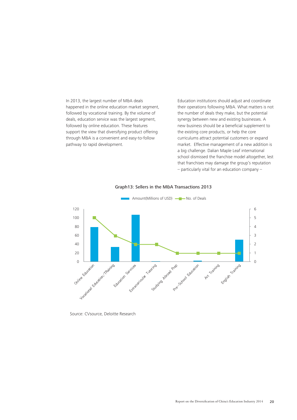In 2013, the largest number of M&A deals happened in the online education market segment, followed by vocational training. By the volume of deals, education service was the largest segment, followed by online education. These features support the view that diversifying product offering through M&A is a convenient and easy-to-follow pathway to rapid development.

Education institutions should adjust and coordinate their operations following M&A. What matters is not the number of deals they make, but the potential synergy between new and existing businesses. A new business should be a beneficial supplement to the existing core products, or help the core curriculums attract potential customers or expand market. Effective management of a new addition is a big challenge. Dalian Maple Leaf international school dismissed the franchise model altogether, lest that franchises may damage the group's reputation – particularly vital for an education company –



## Graph13: Sellers in the M&A Transactions 2013

Source: CVsource, Deloitte Research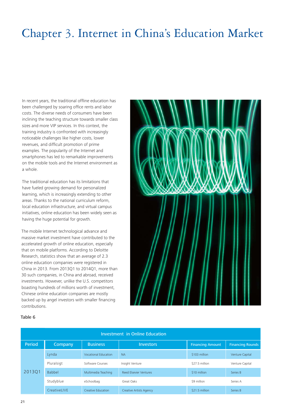## Chapter 3. Internet in China's Education Market

In recent years, the traditional offline education has been challenged by soaring office rents and labor costs. The diverse needs of consumers have been inclining the teaching structure towards smaller class sizes and more VIP services. In this context, the training industry is confronted with increasingly noticeable challenges like higher costs, lower revenues, and difficult promotion of prime examples. The popularity of the Internet and smartphones has led to remarkable improvements on the mobile tools and the Internet environment as a whole.

The traditional education has its limitations that have fueled growing demand for personalized learning, which is increasingly extending to other areas. Thanks to the national curriculum reform, local education infrastructure, and virtual campus initiatives, online education has been widely seen as having the huge potential for growth.

The mobile Internet technological advance and massive market investment have contributed to the accelerated growth of online education, especially that on mobile platforms. According to Deloitte Research, statistics show that an average of 2.3 online education companies were registered in China in 2013. From 2013Q1 to 2014Q1, more than 30 such companies, in China and abroad, received investments. However, unlike the U.S. competitors boasting hundreds of millions worth of investment, Chinese online education companies are mostly backed up by angel investors with smaller financing contributions.



## Table 6

| Investment in Online Education |               |                      |                                |                         |                         |  |
|--------------------------------|---------------|----------------------|--------------------------------|-------------------------|-------------------------|--|
| Period                         | Company       | <b>Business</b>      | <b>Investors</b>               | <b>Financing Amount</b> | <b>Financing Rounds</b> |  |
|                                | Lynda         | Vocational Education | <b>NA</b>                      | \$103 million           | Venture Capital         |  |
|                                | Pluralsigt    | Software Courses     | Insight Venture                | \$27.5 million          | Venture Capital         |  |
| 201301                         | <b>Babbel</b> | Multimedia Teaching  | Reed Elsevier Ventures         | \$10 million            | Series B                |  |
|                                | Studyblue     | eSchoolbag           | Great Oaks                     | \$9 million             | Series A                |  |
|                                | CreativeLIVE  | Creative Education   | <b>Creative Artists Agency</b> | \$21.5 million          | Series B                |  |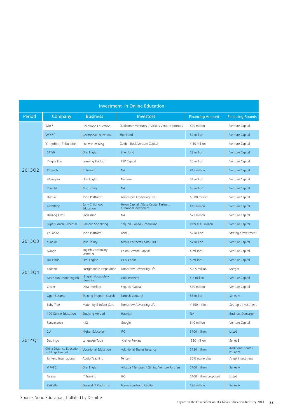| <b>Investment in Online Education</b> |                                                     |                                |                                                               |                         |                                      |  |
|---------------------------------------|-----------------------------------------------------|--------------------------------|---------------------------------------------------------------|-------------------------|--------------------------------------|--|
| Period                                | Company                                             | <b>Business</b>                | <b>Investors</b>                                              | <b>Financing Amount</b> | <b>Financing Rounds</b>              |  |
|                                       | Alo7                                                | Childhood Education            | Qualcomm Ventures / Vickers Venture Partners                  | \$20 million            | Venture Capital                      |  |
|                                       | <b>WYZC</b>                                         | Vocational Education           | ZhenFund                                                      | \$2 million             | Venture Capital                      |  |
|                                       | Yingding Education                                  | Pre-test Training              | Golden Rock Venture Capital                                   | ¥ 30 million            | Venture Capital                      |  |
|                                       | 51Talk                                              | Oral English                   | ZhenFund                                                      | \$2 million             | Venture Capital                      |  |
|                                       | Yinghe Edu                                          | Learning Platform              | <b>TBP Capital</b>                                            | \$5 million             | Venture Capital                      |  |
| 2013Q2                                | <b>XSTeach</b>                                      | <b>IT Training</b>             | <b>NA</b>                                                     | ¥15 million             | Venture Capital                      |  |
|                                       | 91 waijiao                                          | Oral English                   | NetEase                                                       | \$4 million             | Venture Capital                      |  |
|                                       | YuanTiKu                                            | Test Library                   | <b>NA</b>                                                     | \$3 million             | Venture Capital                      |  |
|                                       | DuoBei                                              | Tools Platform                 | Tomorrow Advancing Life                                       | \$3.08 million          | Venture Capital                      |  |
|                                       | EachBaby                                            | Early Childhood<br>Education   | Hejun Capital / Easy Capital Partners<br>/PreAngel Investment | ¥10 million             | Venture Capital                      |  |
|                                       | Hujiang Class                                       | Socializing                    | ΝA                                                            | \$23 million            | Venture Capital                      |  |
|                                       | Super Course Schedule                               | <b>Campus Socializing</b>      | Sequoia Capital / ZhenFund                                    | Over ¥ 10 million       | Venture Capital                      |  |
|                                       | ChuanKe                                             | Tools Platform                 | Baidu                                                         | \$2 million             | Strategic Investment                 |  |
| 2013Q3                                | YuanTiKu                                            | <b>Test Library</b>            | Matrix Partners China / IDG                                   | \$7 million             | Venture Capital                      |  |
|                                       | Iwmgh                                               | English Vocabulary<br>Learning | China Growth Capital                                          | ¥ millions              | Venture Capital                      |  |
|                                       | LiuLiShuo                                           | Oral English                   | <b>GGV Capital</b>                                            | \$ millions             | Venture Capital                      |  |
| 2013Q4                                | KaoYan                                              | Postgraduate Preparation       | Tomorrow Advancing Life                                       | \$8.5 million           | Merger                               |  |
|                                       | More Fun, More English                              | English Vocabulary<br>Learning | Gobi Partners                                                 | ¥ 8 million             | Venture Capital                      |  |
|                                       | Clever                                              | Data Interface                 | Sequoia Capital                                               | \$10 million            | Venture Capital                      |  |
|                                       | Open Sesame                                         | Training Program Search        | Partech Ventures                                              | \$8 million             | Series A                             |  |
|                                       | <b>Baby Tree</b>                                    | Maternity & Infant Care        | Tomorrow Advancing Life                                       | ¥ 150 million           | Strategic Investment                 |  |
|                                       | 100 Online Education                                | <b>Studying Abroad</b>         | Huanjun                                                       | <b>NA</b>               | <b>Business Demerger</b>             |  |
|                                       | Renaissance                                         | K12                            | Google                                                        | \$40 million            | Venture Capital                      |  |
|                                       | 2U                                                  | <b>Higher Education</b>        | <b>IPO</b>                                                    | \$100 million           | Listed                               |  |
| 2014Q1                                | Duolingo                                            | Language Tools                 | Kleiner Perkins                                               | \$20 million            | Series B                             |  |
|                                       | China Distance Education<br><b>Holdings Limited</b> | Vocational Education           | Additional Shares Issuance                                    | \$120 million           | <b>Additional Shares</b><br>Issuance |  |
|                                       | Junteng International                               | Audio Teaching                 | Tencent                                                       | 30% ownership           | Angel Investment                     |  |
|                                       | <b>VIPABC</b>                                       | Oral English                   | Alibaba / Temasek / Qiming Venture Partners                   | \$100 million           | Series A                             |  |
|                                       | Tarena                                              | <b>IT Training</b>             | <b>IPO</b>                                                    | \$100 million proposed  | Listed                               |  |
|                                       | KaiKeBa                                             | General IT Platforms           | Fosun Kunzhong Capital                                        | \$20 million            | Series A                             |  |

Source: Soho Education, Collated by Deloitte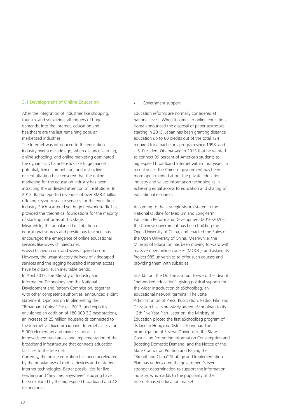## 3.1 Development of Online Education

After the integration of industries like shopping. tourism, and socializing, all triggers of huge demands, into the Internet, education and healthcare are the last remaining popular, marketized industries.

The Internet was introduced to the education industry over a decade ago, when distance learning, online schooling, and online marketing dominated the dynamics. Characteristics like huge market potential, fierce competition, and distinctive decentralization have ensured that the online marketing for the education industry has been attracting the undivided attention of institutions. In 2012, Baidu reported revenues of over RMB 4 billion offering keyword search services for the education industry. Such scattered yet huge network traffic has provided the theoretical foundations for the majority of start-up platforms at this stage. Meanwhile, the unbalanced distribution of

educational sources and prestigious teachers has encouraged the emergence of online educational services like www.chinaedu.net,

www.chinaedu.com, and www.hgznedu.com. However, the unsatisfactory delivery of videotaped services and the lagging household Internet access have held back such inevitable trends. In April 2013, the Ministry of Industry and Information Technology and the National Development and Reform Commission, together with other competent authorities, announced a joint statement, Opinions on Implementing the "Broadband China" Project 2013, and explicitly envisioned an addition of 180,000 3G base stations, an increase of 25 million households connected to the Internet via fixed broadband, Internet access for

5,000 elementary and middle schools in impoverished rural areas, and implementation of the broadband infrastructure that connects education facilities to the Internet.

Currently, the online education has been accelerated by the popular use of mobile devices and maturing Internet technologies. Better possibilities for live teaching and "anytime, anywhere" studying have been explored by the high-speed broadband and 4G technologies.

### **.** Government support

Education reforms are normally considered at national levels. When it comes to online education, Korea announced the disposal of paper textbooks starting in 2015, Japan has been granting distance education up to 60 credits out of the total 124 required for a bachelor's program since 1998, and U.S. President Obama said in 2013 that he wanted to connect 99 percent of America's students to high-speed broadband Internet within four years. In recent years, the Chinese government has been more open-minded about the private education industry and values information technologies in achieving equal access to education and sharing of educational resources.

According to the strategic visions stated in the National Outline for Medium and Long-term Education Reform and Development (2010-2020), the Chinese government has been building the Open University of China, and enacted the Rules of the Open University of China. Meanwhile, the Ministry of Education has been moving forward with massive open online courses (MOOC), and asking its Project 985 universities to offer such courses and providing them with subsidies.

In addition, the Outline also put forward the idea of "networked education", giving political support for the wider introduction of eSchoolbag, an educational network terminal. The State Administration of Press, Publication, Radio, Film and Television has expressively added eSchoolbag to its 12th Five-Year Plan. Later on, the Ministry of Education piloted the first eSchoolbag program of its kind in Hongkou District, Shanghai. The promulgation of Several Opinions of the State Council on Promoting Information Consumption and Boosting Domestic Demand, and the Notice of the State Council on Printing and Issuing the "Broadband China" Strategy and Implementation Plan has underscored the government's ever stronger determination to support the information industry, which adds to the popularity of the Internet-based education market.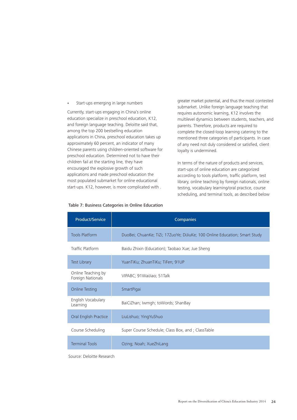**.** Start-ups emerging in large numbers

Currently, start-ups engaging in China's online education specialize in preschool education, K12, and foreign language teaching. Deloitte said that, among the top 200 bestselling education applications in China, preschool education takes up approximately 60 percent, an indicator of many Chinese parents using children-oriented software for preschool education. Determined not to have their children fail at the starting line, they have encouraged the explosive growth of such applications and made preschool education the most populated submarket for online educational start-ups. K12, however, is more complicated with .

greater market potential, and thus the most contested submarket. Unlike foreign language teaching that requires autonomic learning, K12 involves the multilevel dynamics between students, teachers, and parents. Therefore, products are required to complete the closed-loop learning catering to the mentioned three categories of participants. In case of any need not duly considered or satisfied, client loyalty is undermined.

In terms of the nature of products and services, start-ups of online education are categorized according to tools platform, traffic platform, test library, online teaching by foreign nationals, online testing, vocabulary learning/oral practice, course scheduling, and terminal tools, as described below

| <b>Product/Service</b>                  | Companies                                                                  |
|-----------------------------------------|----------------------------------------------------------------------------|
| <b>Tools Platform</b>                   | DuoBei; ChuanKe; TiZi; 17ZuoYe; DiJiuKe; 100 Online Education; Smart Study |
| Traffic Platform                        | Baidu Zhixin (Education); Taobao Xue; Jue Sheng                            |
| Test Library                            | YuanTiKu; ZhuanTiKu; TiFen; 91UP                                           |
| Online Teaching by<br>Foreign Nationals | VIPABC; 91 WaiJiao; 51 Talk                                                |
| <b>Online Testing</b>                   | SmartPigai                                                                 |
| English Vocabulary<br>Learning          | BaiCiZhan; Iwmgh; toWords; ShanBay                                         |
| Oral English Practice                   | LiuLishuo; YingYuShuo                                                      |
| Course Scheduling                       | Super Course Schedule; Class Box, and ; ClassTable                         |
| <b>Terminal Tools</b>                   | Ozing; Noah; XueZhiLang                                                    |

### Table 7: Business Categories in Online Education

Source: Deloitte Research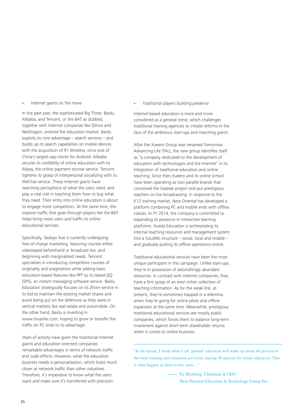**.** Internet giants on the move

In the past year, the sophisticated Big Three, Baidu, Alibaba, and Tencent, or the BAT as dubbed, together with Internet companies like Qihoo and NetDragon, entered the education market. Baidu exploits its core advantage – search services – and builds up its search capabilities on mobile devices with the acquisition of 91 Wireless, once one of China's largest app stores for Android. Alibaba secures its credibility of online education with its Alipay, the online payment escrow service. Tencent tightens its grasp of interpersonal socializing with its WeChat service. These Internet giants have searching perceptions of what the users need, and play a vital role in teaching them how to buy what they need. Their entry into online education is about to engage more competitors. At the same time, the massive traffic that goes through players like the BAT helps bring more users and traffic to online educational services.

Specifically, Taobao Xue is currently undergoing free-of-charge marketing, featuring courses either videotaped beforehand or broadcast live, and beginning with marginalized needs. Tencent specializes in introducing competitive courses of originality and pragmatism while adding basic education-based features like PPT to its lasted QQ (SP5), an instant messaging software service. Baidu Education strategically focuses on its Zhixin service in its bid to maintain the existing market shares and avoid being put on the defensive as they were in vertical markets like real estate and automobile. On the other hand, Baidu is investing in www.chuanke.com, hoping to grow or transfer the traffic on PC ends to its advantage.

Years of activity have given the traditional Internet giants and education-oriented companies remarkable advantages in terms of network traffic and scale effects. However, what the education business needs is personalization, which looks much closer at network traffic than other industries. Therefore, it's imperative to know what the users want and make sure it's transferred with precision.

**.** Traditional players building presence

Internet-based education is more and more considered as a general trend, which challenges traditional training agencies to initiate reforms in the face of the ambitious start-ups and marching giants.

After the Xueersi Group was renamed Tomorrow Advancing Life (TAL), the new group identifies itself as "a company dedicated to the development of education with technologies and the Internet" in its integration of traditional education and online teaching. Since then Xueersi and its online school have been operating as two parallel brands that conceived the Seaside project and put prestigious teachers on live broadcasting. In response to the K12 training market, New Oriental has developed a platform combining PC and mobile ends with offline classes. In FY 2014, the company is committed to expanding its presence in interactive learning platforms. Xueda Education is orchestrating its internal teaching resources and management system into a SoLoMo structure – social, local and mobile – and gradually putting its offline operations online.

Traditional educational services have been the most unique participant in this campaign. Unlike start-ups, they're in possession of astonishingly abundant resources. In contrast with Internet companies, they have a firm grasp of an even richer collection of teaching information. As for the weak link, at present, they're sometimes trapped in a dilemma when they're going for online pilots and offline expansion at the same time. Meanwhile, prestigious traditional educational services are mostly public companies, which forces them to balance long-term investment against short-term shareholder returns when it comes to online business.

"In the future, I think what I call 'ground' education will make up about 60 percent of the total training and education activities, leaving 40 percent for online education. This is what happen in three to five years…"

> Yu Minhong, Chairman & CEO, New Oriental Education & Technology Group Inc.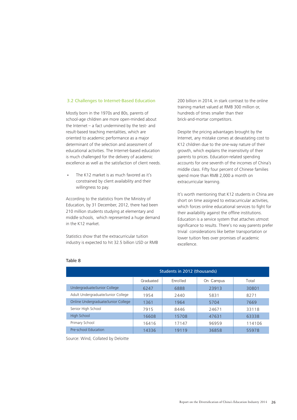## 3.2 Challenges to Internet-Based Education

Mostly born in the 1970s and 80s, parents of school-age children are more open-minded about the Internet – a fact undermined by the test- and result-based teaching mentalities, which are oriented to academic performance as a major determinant of the selection and assessment of educational activities. The Internet-based education is much challenged for the delivery of academic excellence as well as the satisfaction of client needs.

The K12 market is as much favored as it's constrained by client availability and their willingness to pay. **.**

According to the statistics from the Ministry of Education, by 31 December, 2012, there had been 210 million students studying at elementary and middle schools, which represented a huge demand in the K12 market.

Statistics show that the extracurricular tuition industry is expected to hit 32.5 billion USD or RMB 200 billion in 2014, in stark contrast to the online training market valued at RMB 300 million or, hundreds of times smaller than their brick-and-mortar competitors.

Despite the pricing advantages brought by the Internet, any mistake comes at devastating cost to K12 children due to the one-way nature of their growth, which explains the insensitivity of their parents to prices. Education-related spending accounts for one seventh of the incomes of China's middle class. Fifty four percent of Chinese families spend more than RMB 2,000 a month on extracurricular learning.

It's worth mentioning that K12 students in China are short on time assigned to extracurricular activities, which forces online educational services to fight for their availability against the offline institutions. Education is a service system that attaches utmost significance to results. There's no way parents prefer trivial considerations like better transportation or lower tuition fees over promises of academic excellence.

| Students in 2012 (thousands)        |           |          |           |        |  |
|-------------------------------------|-----------|----------|-----------|--------|--|
|                                     | Graduated | Enrolled | On Campus | Total  |  |
| Undergraduate/Junior College        | 6247      | 6888     | 23913     | 30801  |  |
| Adult Undergraduate/Junior College  | 1954      | 2440     | 5831      | 8271   |  |
| Online Undergraduate/Junior College | 1361      | 1964     | 5704      | 7669   |  |
| Senior High School                  | 7915      | 8446     | 24671     | 33118  |  |
| High School                         | 16608     | 15708    | 47631     | 63338  |  |
| Primary School                      | 16416     | 17147    | 96959     | 114106 |  |
| Pre-school Education                | 14336     | 19119    | 36858     | 55978  |  |

## Table 8

Source: Wind, Collated by Deloitte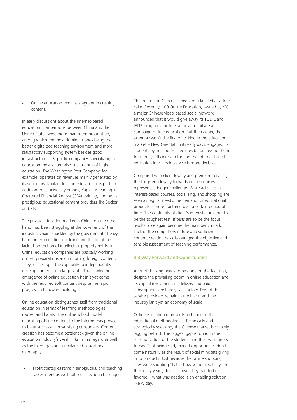Online education remains stagnant in creating content. **.**

In early discussions about the Internet-based education, comparisons between China and the United States were more than often brought up, among which the most dominant ones being the better digitalized teaching environment and more satisfactory supporting system besides good infrastructure. U.S. public companies specializing in education mostly comprise institutions of higher education. The Washington Post Company, for example, operates on revenues mainly generated by its subsidiary, Kaplan, Inc., an educational expert. In addition to its university brands, Kaplan is leading in Chartered Financial Analyst (CFA) training, and owns prestigious educational content providers like Becker and ETC

The private education market in China, on the other hand, has been struggling at the lower end of the industrial chain, shackled by the government's heavy hand on examination guideline and the longtime lack of protection of intellectual property rights. In China, education companies are basically working on test preparations and importing foreign content. They're lacking in the capability to independently develop content on a large scale. That's why the emergence of online education hasn't yet come with the required soft content despite the rapid progress in hardware building.

Online education distinguishes itself from traditional education in terms of learning methodologies, routes, and habits. The online school model relocating offline content to the Internet has proved to be unsuccessful in satisfying consumers. Content creation has become a bottleneck given the online education industry's weak links in this regard as well as the talent gap and unbalanced educational geography.

Profit strategies remain ambiguous, and teaching assessment as well tuition collection challenged. **.**

The Internet in China has been long labeled as a free cake. Recently, 100 Online Education, owned by YY, a major Chinese video-based social network, announced that it would give away its TOEFL and IELTS programs for free, a move to initiate a campaign of free education. But then again, the attempt wasn't the first of its kind in the education market – New Oriental, in its early days, engaged its students by hosting free lectures before asking them for money. Efficiency in turning the Internet-based education into a paid service is more decisive.

Compared with client loyalty and premium services, the long-term loyalty towards online courses represents a bigger challenge. While activities like interest-based courses, socializing, and shopping are seen as regular needs, the demand for educational products is more fractured over a certain period of time. The continuity of client's interests turns out to be the toughest test. If tests are to be the focus, results once again become the main benchmark. Lack of the compulsory nature and sufficient content creation has discouraged the objective and sensible assessment of teaching performance.

## 3.3 Way Forward and Opportunities

A lot of thinking needs to be done on the fact that, despite the prevailing boom in online education and its capital investment, its delivery and paid subscriptions are hardly satisfactory. Few of the service providers remain in the black, and the industry isn't yet an economy of scale.

Online education represents a change of the educational methodologies. Technically and strategically speaking, the Chinese market is scarcely lagging behind. The biggest gap is found in the self-motivation of the students and their willingness to pay. That being said, market opportunities don't come naturally as the result of social mindsets giving in to products. Just because the online shopping sites were shouting "Let's show some credibility" in their early years, doesn't mean they had to be favored – what was needed is an enabling solution like Alipay.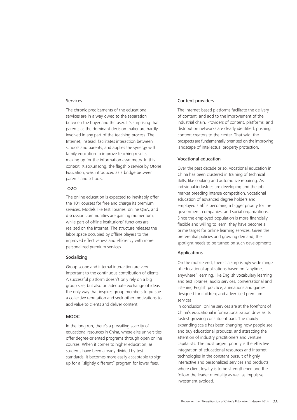## Services

The chronic predicaments of the educational services are in a way owed to the separation between the buyer and the user. It's surprising that parents as the dominant decision maker are hardly involved in any part of the teaching process. The Internet, instead, facilitates interaction between schools and parents, and applies the synergy with family education to improve teaching results, making up for the information asymmetry. In this context, XiaoXunTong, the flagship service by Qtone Education, was introduced as a bridge between parents and schools.

## O2O

The online education is expected to inevitably offer the 101 courses for free and charge its premium services. Models like test libraries, online Q&A, and discussion communities are gaining momentum, while part of offline institutions' functions are realized on the Internet. The structure releases the labor space occupied by offline players to the improved effectiveness and efficiency with more personalized premium services.

### Socializing

Group scope and internal interaction are very important to the continuous contribution of clients. A successful platform doesn't only rely on a big group size, but also on adequate exchange of ideas the only way that inspires group members to pursue a collective reputation and seek other motivations to add value to clients and deliver content.

## MOOC

In the long run, there's a prevailing scarcity of educational resources in China, where elite universities offer degree-oriented programs through open online courses. When it comes to higher education, as students have been already divided by test standards, it becomes more easily acceptable to sign up for a "slightly different" program for lower fees.

## Content providers

The Internet-based platforms facilitate the delivery of content, and add to the improvement of the industrial chain. Providers of content, platforms, and distribution networks are clearly identified, pushing content creators to the center. That said, the prospects are fundamentally premised on the improving landscape of intellectual property protection.

## Vocational education

Over the past decade or so, vocational education in China has been clustered in training of technical skills, like cooking and automotive repairing. As individual industries are developing and the job market breeding intense competition, vocational education of advanced degree holders and employed staff is becoming a bigger priority for the government, companies, and social organizations. Since the employed population is more financially flexible and willing to learn, they have become a prime target for online learning services. Given the preferential policies and growing demand, the spotlight needs to be turned on such developments.

## Applications

On the mobile end, there's a surprisingly wide range of educational applications based on "anytime, anywhere" learning, like English vocabulary learning and test libraries; audio services, conversational and listening English practice; animations and games designed for children; and advertised premium services.

In conclusion, online services are at the forefront of China's educational informationalization drive as its fastest growing constituent part. The rapidly expanding scale has been changing how people see and buy educational products, and attracting the attention of industry practitioners and venture capitalists. The most urgent priority is the effective integration of educational resources and Internet technologies in the constant pursuit of highly interactive and personalized services and products, where client loyalty is to be strengthened and the follow-the-leader mentality as well as impulsive investment avoided.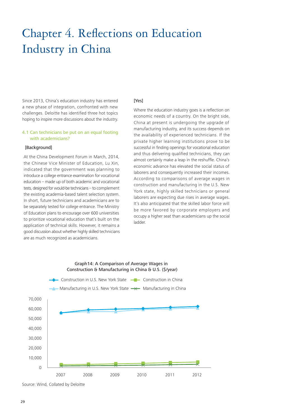## Chapter 4. Reflections on Education Industry in China

Since 2013, China's education industry has entered a new phase of integration, confronted with new challenges. Deloitte has identified three hot topics hoping to inspire more discussions about the industry.

## 4.1 Can technicians be put on an equal footing with academicians?

## [Background]

At the China Development Forum in March, 2014, the Chinese Vice Minister of Education, Lu Xin, indicated that the government was planning to introduce a college entrance examination for vocational education – made up of both academic and vocational tests, designed for would-be technicians – to complement the existing academia-based talent selection system. In short, future technicians and academicians are to be separately tested for college entrance. The Ministry of Education plans to encourage over 600 universities to prioritize vocational education that's built on the application of technical skills. However, it remains a good discussion about whether highly skilled technicians are as much recognized as academicians.

## [Yes]

Where the education industry goes is a reflection on economic needs of a country. On the bright side, China at present is undergoing the upgrade of manufacturing industry, and its success depends on the availability of experienced technicians. If the private higher learning institutions prove to be successful in finding openings for vocational education and thus delivering qualified technicians, they can almost certainly make a leap in the reshuffle. China's economic advance has elevated the social status of laborers and consequently increased their incomes. According to comparisons of average wages in construction and manufacturing in the U.S. New York state, highly skilled technicians or general laborers are expecting due rises in average wages. It's also anticipated that the skilled labor force will be more favored by corporate employers and occupy a higher seat than academicians up the social ladder.



Graph14: A Comparison of Average Wages in

Source: Wind, Collated by Deloitte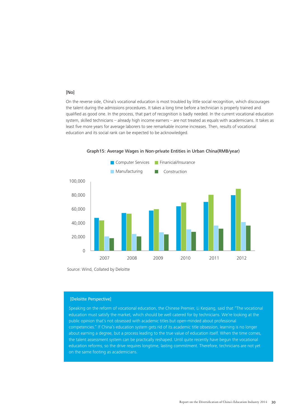## [No]

On the reverse side, China's vocational education is most troubled by little social recognition, which discourages the talent during the admissions procedures. It takes a long time before a technician is properly trained and qualified as good one. In the process, that part of recognition is badly needed. In the current vocational education system, skilled technicians – already high income earners – are not treated as equals with academicians. It takes as least five more years for average laborers to see remarkable income increases. Then, results of vocational education and its social rank can be expected to be acknowledged.



Graph15: Average Wages in Non-private Entities in Urban China(RMB/year)

Source: Wind, Collated by Deloitte

## [Deloitte Perspective]

Speaking on the reform of vocational education, the Chinese Premier, Li Keqiang, said that "The vocational education must satisfy the market, which should be well catered for by technicians. We're looking at the public opinion that's not obsessed with academic titles but open-minded about professional competencies." If China's education system gets rid of its academic title obsession, learning is no longer about earning a degree, but a process leading to the true value of education itself. When the time comes, the talent assessment system can be practically reshaped. Until quite recently have begun the vocational education reforms, so the drive requires longtime, lasting commitment. Therefore, technicians are not yet on the same footing as academicians.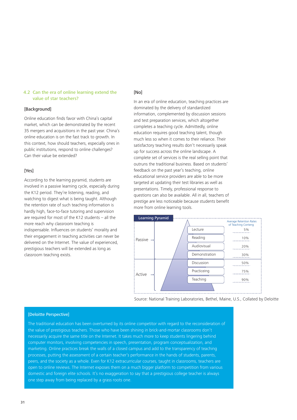## 4.2 Can the era of online learning extend the value of star teachers?

## [Background]

Online education finds favor with China's capital market, which can be demonstrated by the recent 35 mergers and acquisitions in the past year. China's online education is on the fast track to growth. In this context, how should teachers, especially ones in public institutions, respond to online challenges? Can their value be extended?

## [Yes]

According to the learning pyramid, students are involved in a passive learning cycle, especially during the K12 period. They're listening, reading, and watching to digest what is being taught. Although the retention rate of such teaching information is hardly high, face-to-face tutoring and supervision are required for most of the K12 students – all the more reach why classroom teaching is indispensable. Influences on students' morality and their engagement in teaching activities can never be delivered on the Internet. The value of experienced, prestigious teachers will be extended as long as classroom teaching exists.

## [No]

In an era of online education, teaching practices are dominated by the delivery of standardized information, complemented by discussion sessions and test preparation services, which altogether completes a teaching cycle. Admittedly, online education requires good teaching talent, though much less so when it comes to their reliance. Their satisfactory teaching results don't necessarily speak up for success across the online landscape. A complete set of services is the real selling point that outruns the traditional business. Based on students' feedback on the past year's teaching, online educational service providers are able to be more targeted at updating their test libraries as well as presentations. Timely, professional response to questions can also be available. All in all, teachers of prestige are less noticeable because students benefit more from online learning tools.



Source: National Training Laboratories, Bethel, Maine, U.S., Collated by Deloitte

## [Deloitte Perspective]

The traditional education has been overturned by its online competitor with regard to the reconsideration of the value of prestigious teachers. Those who have been shining in brick-and-mortar classrooms don't necessarily acquire the same title on the Internet. It takes much more to keep students lingering behind computer monitors, involving competencies in speech, presentation, program conceptualization, and marketing. Online practices break the walls of a closed campus and add to the transparency of teaching processes, putting the assessment of a certain teacher's performance in the hands of students, parents, peers, and the society as a whole. Even for K12 extracurricular courses, taught in classrooms, teachers are open to online reviews. The Internet exposes them on a much bigger platform to competition from various domestic and foreign elite schools. It's no exaggeration to say that a prestigious college teacher is always one step away from being replaced by a grass roots one.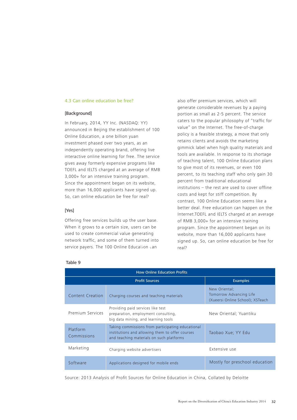## 4.3 Can online education be free?

## [Background]

In February, 2014, YY Inc. (NASDAQ: YY) announced in Beijing the establishment of 100 Online Education, a one billion yuan investment phased over two years, as an independently operating brand, offering live interactive online learning for free. The service gives away formerly expensive programs like TOEFL and IELTS charged at an average of RMB 3,000+ for an intensive training program. Since the appointment began on its website, more than 16,000 applicants have signed up. So, can online education be free for real?

## [Yes]

Offering free services builds up the user base. When it grows to a certain size, users can be used to create commercial value generating network traffic, and some of them turned into service payers. The 100 Online Education can

also offer premium services, which will generate considerable revenues by a paying portion as small as 2-5 percent. The service caters to the popular philosophy of "traffic for value" on the Internet. The free-of-charge policy is a feasible strategy, a move that only retains clients and avoids the marketing gimmick label when high quality materials and tools are available. In response to its shortage of teaching talent, 100 Online Education plans to give most of its revenues, or even 100 percent, to its teaching staff who only gain 30 percent from traditional educational institutions – the rest are used to cover offline costs and kept for stiff competition. By contrast, 100 Online Education seems like a better deal. Free education can happen on the Internet.TOEFL and IELTS charged at an average of RMB 3,000+ for an intensive training program. Since the appointment began on its website, more than 16,000 applicants have signed up. So, can online education be free for real?

| <b>How Online Education Profits</b> |                                                                                                                                                  |                                                                              |  |  |  |
|-------------------------------------|--------------------------------------------------------------------------------------------------------------------------------------------------|------------------------------------------------------------------------------|--|--|--|
|                                     | <b>Profit Sources</b>                                                                                                                            | <b>Examples</b>                                                              |  |  |  |
| Content Creation                    | Charging courses and teaching materials                                                                                                          | New Oriental;<br>Tomorrow Advancing Life<br>(Xueersi Online School); XSTeach |  |  |  |
| Premium Services                    | Providing paid services like test<br>preparation, employment consulting,<br>big data mining, and learning tools                                  | New Oriental; Yuantiku                                                       |  |  |  |
| Platform<br>Commissions             | Taking commissions from participating educational<br>institutions and allowing them to offer courses<br>and teaching materials on such platforms | Taobao Xue; YY Edu                                                           |  |  |  |
| Marketing                           | Charging website advertisers                                                                                                                     | Extensive use                                                                |  |  |  |
| Software                            | Applications designed for mobile ends                                                                                                            | Mostly for preschool education                                               |  |  |  |

## Table 9

Source: 2013 Analysis of Profit Sources for Online Education in China, Collated by Deloitte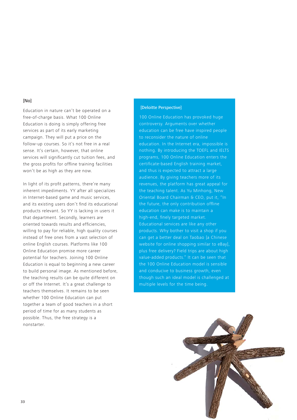## [No]

Education in nature can't be operated on a free-of-charge basis. What 100 Online Education is doing is simply offering free services as part of its early marketing campaign. They will put a price on the follow-up courses. So it's not free in a real sense. It's certain, however, that online services will significantly cut tuition fees, and the gross profits for offline training facilities won't be as high as they are now.

In light of its profit patterns, there're many inherent impediments. YY after all specializes in Internet-based game and music services, and its existing users don't find its educational products relevant. So YY is lacking in users it that department. Secondly, learners are oriented towards results and efficiencies, willing to pay for reliable, high quality courses instead of free ones from a vast selection of online English courses. Platforms like 100 Online Education promise more career potential for teachers. Joining 100 Online Education is equal to beginning a new career to build personal image. As mentioned before, the teaching results can be quite different on or off the Internet. It's a great challenge to teachers themselves. It remains to be seen whether 100 Online Education can put together a team of good teachers in a short period of time for as many students as possible. Thus, the free strategy is a nonstarter.

## [Deloitte Perspective]

100 Online Education has provoked huge controversy. Arguments over whether education can be free have inspired people to reconsider the nature of online education. In the Internet era, impossible is nothing. By introducing the TOEFL and IELTS programs, 100 Online Education enters the certificate-based English training market, and thus is expected to attract a large audience. By giving teachers more of its revenues, the platform has great appeal for the teaching talent. As Yu Minhong, New Oriental Board Chairman & CEO, put it, "In the future, the only contribution offline education can make is to maintain a high-end, finely targeted market. Educational services are like any other products. Why bother to visit a shop if you can get a better deal on Taobao [a Chinese website for online shopping similar to eBay], plus free delivery? Field trips are about high value-added products." It can be seen that the 100 Online Education model is sensible and conducive to business growth, even though such an ideal model is challenged at multiple levels for the time being.

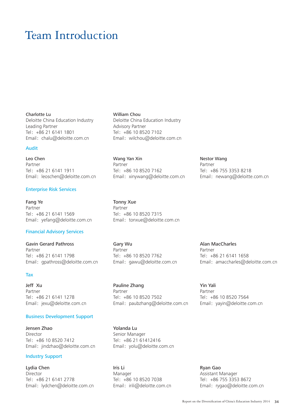## Team Introduction

Charlotte Lu Deloitte China Education Industry Leading Partner Tel:+86 21 6141 1801 Email: chalu@deloitte.com.cn

## Audit

Leo Chen Partner Tel:+86 21 6141 1911 Email: leoschen@deloitte.com.cn

## Enterprise Risk Services

Fang Ye Partner Tel:+86 21 6141 1569 Email: yefang@deloitte.com.cn

## Financial Advisory Services

Gavin Gerard Pathross Partner Tel:+86 21 6141 1798 Email: gpathross@deloitte.com.cn

## Tax

Jeff Xu Partner Tel:+86 21 6141 1278 Email: jexu@deloitte.com.cn

## Business Development Support

Jensen Zhao Director Tel:+86 10 8520 7412 Email: jindzhao@deloitte.com.cn

## Industry Support

Lydia Chen Director Tel:+86 21 6141 2778 Email: lydchen@deloitte.com.cn William Chou Deloitte China Education Industry Advisory Partner Tel:+86 10 8520 7102 Email: wilchou@deloitte.com.cn

Wang Yan Xin Partner Tel:+86 10 8520 7162 Email: xinywang@deloitte.com.cn

Tonny Xue Partner Tel:+86 10 8520 7315 Email: tonxue@deloitte.com.cn

Gary Wu Partner Tel:+86 10 8520 7762 Email: gawu@deloitte.com.cn

Pauline Zhang Partner Tel:+86 10 8520 7502 Email: paubzhang@deloitte.com.cn

Yolanda Lu Senior Manager Tel:+86 21 61412416 Email: yolu@deloitte.com.cn

Iris Li Manager Tel:+86 10 8520 7038 Email: irili@deloitte.com.cn Nestor Wang Partner Tel:+86 755 3353 8218 Email: newang@deloitte.com.cn

Alan MacCharles Partner Tel:+86 21 6141 1658 Email: amaccharles@deloitte.com.cn

Yin Yali Partner Tel:+86 10 8520 7564 Email: yayin@deloitte.com.cn

Ryan Gao Assistant Manager Tel:+86 755 3353 8672 Email: rygao@deloitte.com.cn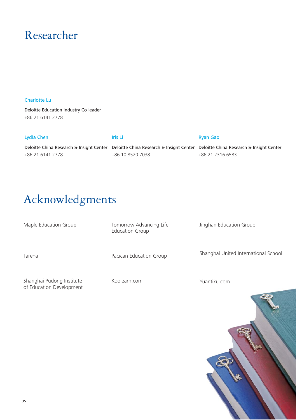## Researcher

## Charlotte Lu

Deloitte Education Industry Co-leader +86 21 6141 2778

| Lydia Chen                                                                                                                 | Iris Li          | <b>Ryan Gao</b>  |
|----------------------------------------------------------------------------------------------------------------------------|------------------|------------------|
| Deloitte China Research & Insight Center Deloitte China Research & Insight Center Deloitte China Research & Insight Center |                  |                  |
| +86 21 6141 2778                                                                                                           | +86 10 8520 7038 | +86 21 2316 6583 |

## Acknowledgments

Maple Education Group Tarena Tomorrow Advancing Life Education Group Pacican Education Group Jinghan Education Group Shanghai United International School

Shanghai Pudong Institute of Education Development Koolearn.com

Yuantiku.com